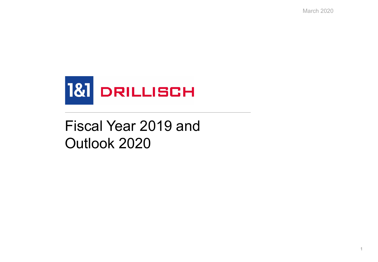March 2020



# Fiscal Year 2019 and Outlook 2020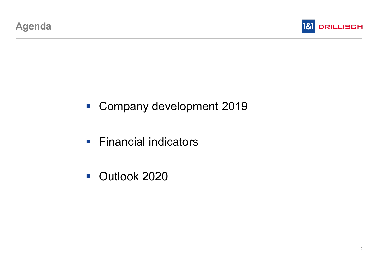

- **Company development 2019**
- **Financial indicators**
- **Outlook 2020**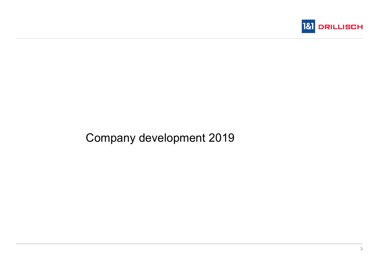

## Company development 2019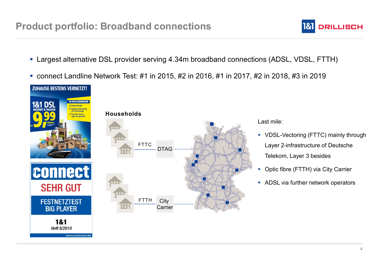

- Largest alternative DSL provider serving 4.34m broadband connections (ADSL, VDSL, FTTH)
- connect Landline Network Test: #1 in 2015, #2 in 2016, #1 in 2017, #2 in 2018, #3 in 2019



Last mile:

- VDSL-Vectoring (FTTC) mainly through Layer 2-infrastructure of Deutsche Telekom, Layer 3 besides
- Optic fibre (FTTH) via City Carrier
- **ADSL via further network operators**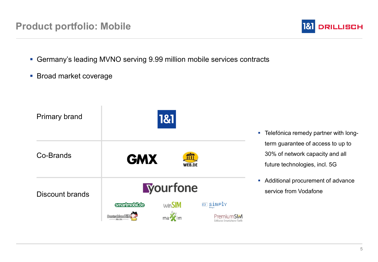#### **Product portfolio: Mobile**

- Germany's leading MVNO serving 9.99 million mobile services contracts
- **Broad market coverage**



- **Telefónica remedy partner with long**term guarantee of access to up to 30% of network capacity and all future technologies, incl. 5G
- **Additional procurement of advance** service from Vodafone

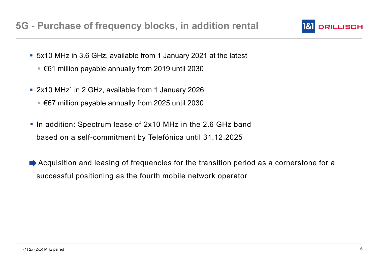

- 5x10 MHz in 3.6 GHz, available from 1 January 2021 at the latest
	- $€61$  million payable annually from 2019 until 2030
- **2x10 MHz<sup>1</sup>** in 2 GHz, available from 1 January 2026
	- $€67$  million payable annually from 2025 until 2030
- In addition: Spectrum lease of 2x10 MHz in the 2.6 GHz band based on a self-commitment by Telefónica until 31.12.2025

Acquisition and leasing of frequencies for the transition period as a cornerstone for a successful positioning as the fourth mobile network operator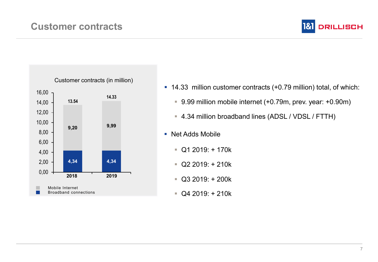



- 14.33 million customer contracts (+0.79 million) total, of which:
	- 9.99 million mobile internet (+0.79m, prev. year: +0.90m)
	- 4.34 million broadband lines (ADSL / VDSL / FTTH)
- Net Adds Mobile
	- $\blacksquare$  Q1 2019: + 170k
	- $\sim$  Q2 2019: + 210k
	- $\bullet$  Q3 2019: + 200k
	- $\sim$  Q4 2019: + 210k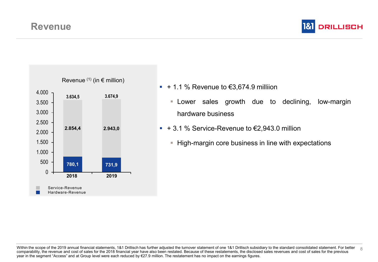



- $\blacksquare$  + 1.1 % Revenue to  $\text{\textsterling}3,674.9$  milliion
	- **EXECT** Lower sales growth due to declining, low-margin hardware business
- $\bullet$  + 3.1 % Service-Revenue to  $\epsilon$ 2,943.0 million
	- **High-margin core business in line with expectations**

8 Within the scope of the 2019 annual financial statements, 1&1 Drillisch has further adjusted the turnover statement of one 1&1 Drillisch subsidiary to the standard consolidated statement. For better comparability, the revenue and cost of sales for the 2018 financial year have also been restated. Because of these restatements, the disclosed sales revenues and cost of sales for the previous year in the segment "Access" and at Group level were each reduced by €27.9 million. The restatement has no impact on the earnings figures.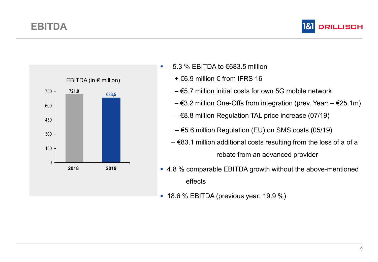#### **EBITDA**





- $-5.3$  % EBITDA to  $\epsilon$ 683.5 million
	- $+ \epsilon$ 6.9 million  $\epsilon$  from IFRS 16
	- $\epsilon$ 5.7 million initial costs for own 5G mobile network
	- $-$  €3.2 million One-Offs from integration (prev. Year:  $-$  €25.1m)
	- $-\epsilon$ 8.8 million Regulation TAL price increase (07/19)
	- $-$  €5.6 million Regulation (EU) on SMS costs (05/19)
	- €83.1 million additional costs resulting from the loss of a of a rebate from an advanced provider
- 4.8 % comparable EBITDA growth without the above-mentioned effects
- 18.6 % EBITDA (previous year: 19.9 %)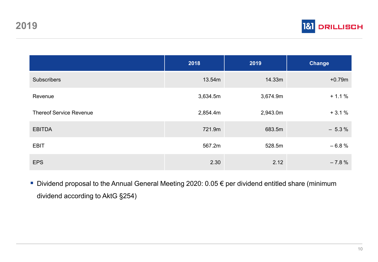

|                                | 2018     | 2019     | <b>Change</b> |
|--------------------------------|----------|----------|---------------|
| <b>Subscribers</b>             | 13.54m   | 14.33m   | $+0.79m$      |
| Revenue                        | 3,634.5m | 3,674.9m | $+1.1%$       |
| <b>Thereof Service Revenue</b> | 2,854.4m | 2,943.0m | $+3.1%$       |
| <b>EBITDA</b>                  | 721.9m   | 683.5m   | $-5.3%$       |
| <b>EBIT</b>                    | 567.2m   | 528.5m   | $-6.8%$       |
| <b>EPS</b>                     | 2.30     | 2.12     | $-7.8%$       |

■ Dividend proposal to the Annual General Meeting 2020: 0.05 € per dividend entitled share (minimum dividend according to AktG §254)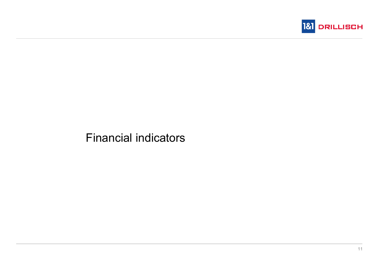

### Financial indicators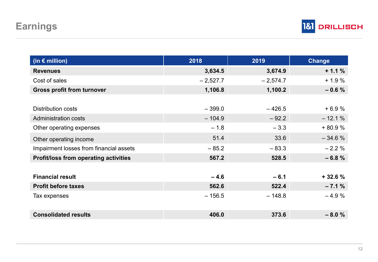#### **Earnings**



| (in $\epsilon$ million)                      | 2018       | 2019       | <b>Change</b> |
|----------------------------------------------|------------|------------|---------------|
| <b>Revenues</b>                              | 3,634.5    | 3,674.9    | $+1.1%$       |
| Cost of sales                                | $-2,527.7$ | $-2,574.7$ | $+1.9%$       |
| <b>Gross profit from turnover</b>            | 1,106.8    | 1,100.2    | $-0.6%$       |
|                                              |            |            |               |
| <b>Distribution costs</b>                    | $-399.0$   | $-426.5$   | $+6.9%$       |
| Administration costs                         | $-104.9$   | $-92.2$    | $-12.1%$      |
| Other operating expenses                     | $-1.8$     | $-3.3$     | $+80.9%$      |
| Other operating income                       | 51.4       | 33.6       | $-34.6%$      |
| Impairment losses from financial assets      | $-85.2$    | $-83.3$    | $-2.2%$       |
| <b>Profit/loss from operating activities</b> | 567.2      | 528.5      | $-6.8%$       |
|                                              |            |            |               |
| <b>Financial result</b>                      | $-4.6$     | $-6.1$     | $+32.6%$      |
| <b>Profit before taxes</b>                   | 562.6      | 522.4      | $-7.1%$       |
| Tax expenses                                 | $-156.5$   | $-148.8$   | $-4.9%$       |
|                                              |            |            |               |
| <b>Consolidated results</b>                  | 406.0      | 373.6      | $-8.0%$       |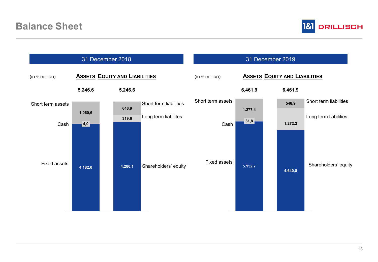

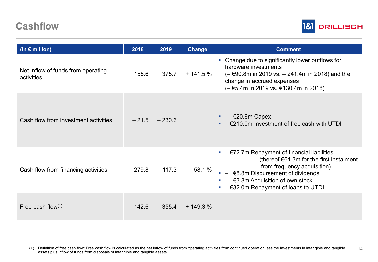#### **Cashflow**



| (in $\epsilon$ million)                          | 2018    | 2019     | <b>Change</b>          | <b>Comment</b>                                                                                                                                                                                                                                                                                                       |
|--------------------------------------------------|---------|----------|------------------------|----------------------------------------------------------------------------------------------------------------------------------------------------------------------------------------------------------------------------------------------------------------------------------------------------------------------|
| Net inflow of funds from operating<br>activities | 155.6   | 375.7    | $+141.5%$              | • Change due to significantly lower outflows for<br>hardware investments<br>$(-\epsilon 90.8$ m in 2019 vs. $-241.4$ m in 2018) and the<br>change in accrued expenses<br>$(-€5.4m)$ in 2019 vs. €130.4m in 2018)                                                                                                     |
| Cash flow from investment activities             | $-21.5$ | $-230.6$ |                        | $\bullet$ - $\epsilon$ 20.6m Capex<br>$\blacksquare$ - $\epsilon$ 210.0m Investment of free cash with UTDI                                                                                                                                                                                                           |
| Cash flow from financing activities              |         |          | $-279.8 -117.3 -58.1%$ | $\blacksquare$ - $\epsilon$ 72.7m Repayment of financial liabilities<br>(thereof €61.3m for the first instalment<br>from frequency acquisition)<br>$ \epsilon$ 8.8m Disbursement of dividends<br>$\bullet$ $ \epsilon$ 3.8m Acquisition of own stock<br>$\blacksquare$ - $\epsilon$ 32.0m Repayment of loans to UTDI |
| Free cash flow $(1)$                             | 142.6   | 355.4    | $+149.3%$              |                                                                                                                                                                                                                                                                                                                      |

(1) Definition of free cash flow: Free cash flow is calculated as the net inflow of funds from operating activities from continued operation less the investments in intangible and tangible and tangible and tangible and tan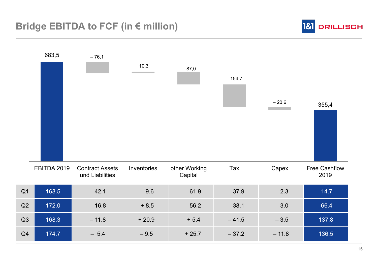#### **Bridge EBITDA to FCF (in € million)**



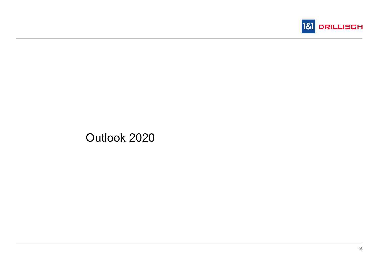

### Outlook 2020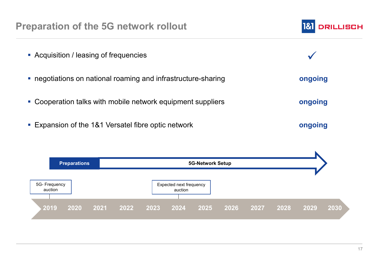#### **Preparation of the 5G network rollout**

**-** Acquisition / leasing of frequencies **negotiations on national roaming and infrastructure-sharing with the set of set ongoing EXECOOPERATION TAINS WEEN THE MODE COOPERATION IS COOPERATION TO A COOPERATION COOPERATION COOPERATION IS COOPERATION**  Expansion of the 1&1 Versatel fibre optic network **ongoing**  $\checkmark$ 



1&1

**DRILLISCH**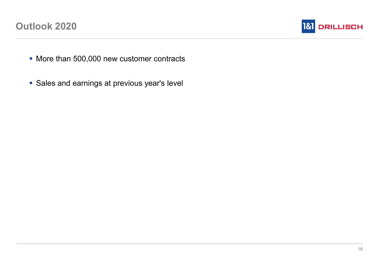

- More than 500,000 new customer contracts
- **Sales and earnings at previous year's level**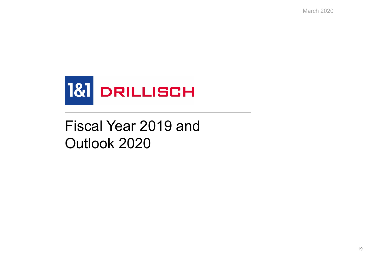March 2020



# Fiscal Year 2019 and Outlook 2020